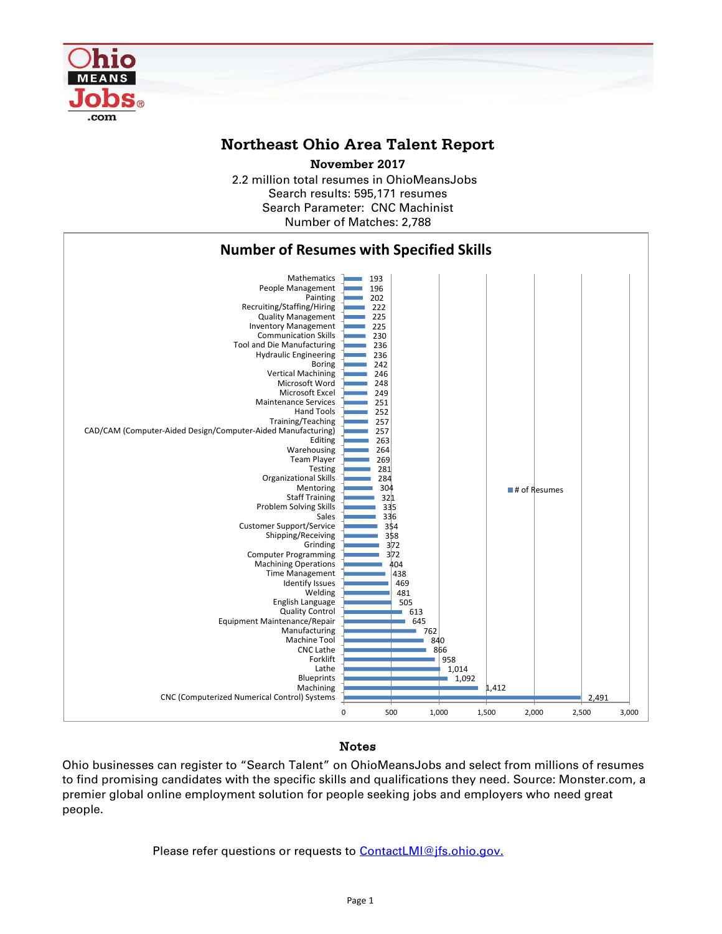

## **Northeast Ohio Area Talent Report**

2.2 million total resumes in OhioMeansJobs Search results: 595,171 resumes Number of Matches: 2,788 Search Parameter: CNC Machinist **November 2017**



## Notes

Ohio businesses can register to "Search Talent" on OhioMeansJobs and select from millions of resumes to find promising candidates with the specific skills and qualifications they need. Source: Monster.com, a premier global online employment solution for people seeking jobs and employers who need great people.

Please refer questions or requests to [ContactLMI@jfs.ohio.gov.](mailto:ContactLMI@jfs.ohio.gov.)